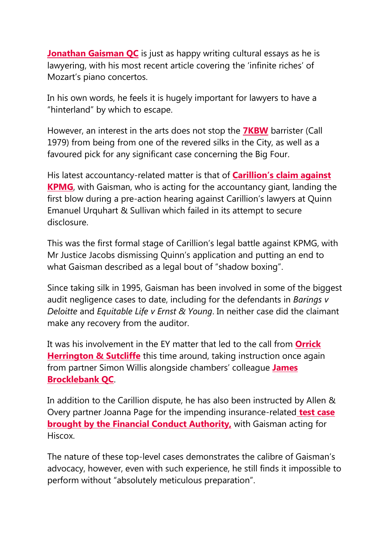**[Jonathan Gaisman QC](https://litigationtracker.thelawyer.com/Barrister?id=27119&view=6)** is just as happy writing cultural essays as he is lawyering, with his most recent article covering the 'infinite riches' of Mozart's piano concertos.

In his own words, he feels it is hugely important for lawyers to have a "hinterland" by which to escape.

However, an interest in the arts does not stop the **[7KBW](https://litigationtracker.thelawyer.com/Chambers?id=8)** barrister (Call 1979) from being from one of the revered silks in the City, as well as a favoured pick for any significant case concerning the Big Four.

His latest accountancy-related matter is that of **[Carillion's claim against](https://www.thelawyer.com/kpmg-racks-up-500000-costs-as-it-resists-carillion-disclosure-bid/)  [KPMG](https://www.thelawyer.com/kpmg-racks-up-500000-costs-as-it-resists-carillion-disclosure-bid/)**, with Gaisman, who is acting for the accountancy giant, landing the first blow during a pre-action hearing against Carillion's lawyers at Quinn Emanuel Urquhart & Sullivan which failed in its attempt to secure disclosure.

This was the first formal stage of Carillion's legal battle against KPMG, with Mr Justice Jacobs dismissing Quinn's application and putting an end to what Gaisman described as a legal bout of "shadow boxing".

Since taking silk in 1995, Gaisman has been involved in some of the biggest audit negligence cases to date, including for the defendants in *Barings v Deloitte* and *Equitable Life v Ernst & Young*. In neither case did the claimant make any recovery from the auditor.

It was his involvement in the EY matter that led to the call from **[Orrick](https://litigationtracker.thelawyer.com/LawFirms?id=653)  [Herrington & Sutcliffe](https://litigationtracker.thelawyer.com/LawFirms?id=653)** this time around, taking instruction once again from partner Simon Willis alongside chambers' colleague **[James](https://litigationtracker.thelawyer.com/Barrister?id=40521&posId=236042&chamberId=8)  [Brocklebank QC](https://litigationtracker.thelawyer.com/Barrister?id=40521&posId=236042&chamberId=8)**.

In addition to the Carillion dispute, he has also been instructed by Allen & Overy partner Joanna Page for the impending insurance-related **[test case](https://www.thelawyer.com/ao-and-dacb-act-for-insurers-in-fcas-test-case/)  [brought by the Financial Conduct Authority,](https://www.thelawyer.com/ao-and-dacb-act-for-insurers-in-fcas-test-case/) with Gaisman acting for** Hiscox.

The nature of these top-level cases demonstrates the calibre of Gaisman's advocacy, however, even with such experience, he still finds it impossible to perform without "absolutely meticulous preparation".